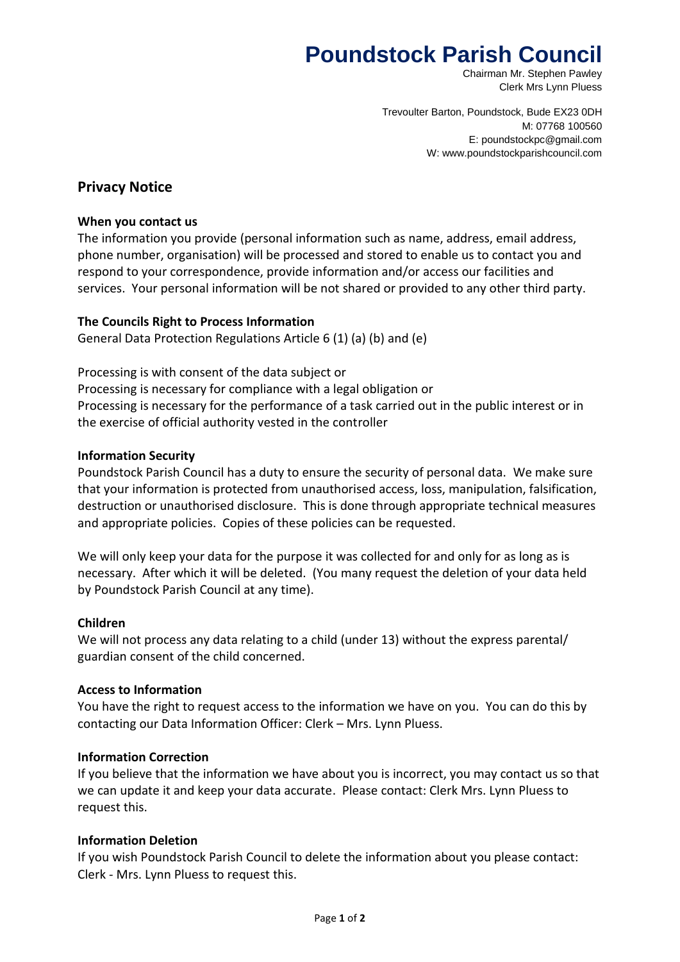# **Poundstock Parish Council**

Chairman Mr. Stephen Pawley Clerk Mrs Lynn Pluess

Trevoulter Barton, Poundstock, Bude EX23 0DH M: 07768 100560 E: poundstockpc@gmail.com W: www.poundstockparishcouncil.com

# **Privacy Notice**

#### **When you contact us**

The information you provide (personal information such as name, address, email address, phone number, organisation) will be processed and stored to enable us to contact you and respond to your correspondence, provide information and/or access our facilities and services. Your personal information will be not shared or provided to any other third party.

## **The Councils Right to Process Information**

General Data Protection Regulations Article 6 (1) (a) (b) and (e)

Processing is with consent of the data subject or Processing is necessary for compliance with a legal obligation or Processing is necessary for the performance of a task carried out in the public interest or in the exercise of official authority vested in the controller

## **Information Security**

Poundstock Parish Council has a duty to ensure the security of personal data. We make sure that your information is protected from unauthorised access, loss, manipulation, falsification, destruction or unauthorised disclosure. This is done through appropriate technical measures and appropriate policies. Copies of these policies can be requested.

We will only keep your data for the purpose it was collected for and only for as long as is necessary. After which it will be deleted. (You many request the deletion of your data held by Poundstock Parish Council at any time).

#### **Children**

We will not process any data relating to a child (under 13) without the express parental/ guardian consent of the child concerned.

#### **Access to Information**

You have the right to request access to the information we have on you. You can do this by contacting our Data Information Officer: Clerk – Mrs. Lynn Pluess.

#### **Information Correction**

If you believe that the information we have about you is incorrect, you may contact us so that we can update it and keep your data accurate. Please contact: Clerk Mrs. Lynn Pluess to request this.

#### **Information Deletion**

If you wish Poundstock Parish Council to delete the information about you please contact: Clerk - Mrs. Lynn Pluess to request this.